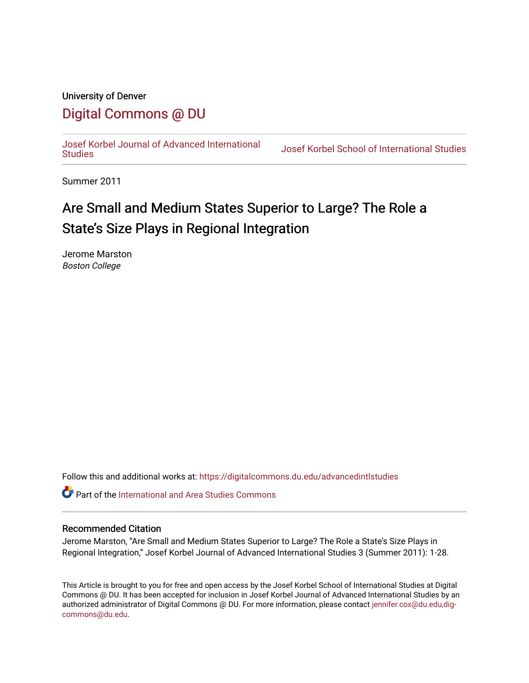# University of Denver

# [Digital Commons @ DU](https://digitalcommons.du.edu/)

[Josef Korbel Journal of Advanced International](https://digitalcommons.du.edu/advancedintlstudies) 

Josef Korbel School of International Studies

Summer 2011

# Are Small and Medium States Superior to Large? The Role a State's Size Plays in Regional Integration

Jerome Marston Boston College

Follow this and additional works at: [https://digitalcommons.du.edu/advancedintlstudies](https://digitalcommons.du.edu/advancedintlstudies?utm_source=digitalcommons.du.edu%2Fadvancedintlstudies%2F11&utm_medium=PDF&utm_campaign=PDFCoverPages)

Part of the [International and Area Studies Commons](http://network.bepress.com/hgg/discipline/360?utm_source=digitalcommons.du.edu%2Fadvancedintlstudies%2F11&utm_medium=PDF&utm_campaign=PDFCoverPages) 

# Recommended Citation

Jerome Marston, "Are Small and Medium States Superior to Large? The Role a State's Size Plays in Regional Integration," Josef Korbel Journal of Advanced International Studies 3 (Summer 2011): 1-28.

This Article is brought to you for free and open access by the Josef Korbel School of International Studies at Digital Commons @ DU. It has been accepted for inclusion in Josef Korbel Journal of Advanced International Studies by an authorized administrator of Digital Commons @ DU. For more information, please contact [jennifer.cox@du.edu,dig](mailto:jennifer.cox@du.edu,dig-commons@du.edu)[commons@du.edu.](mailto:jennifer.cox@du.edu,dig-commons@du.edu)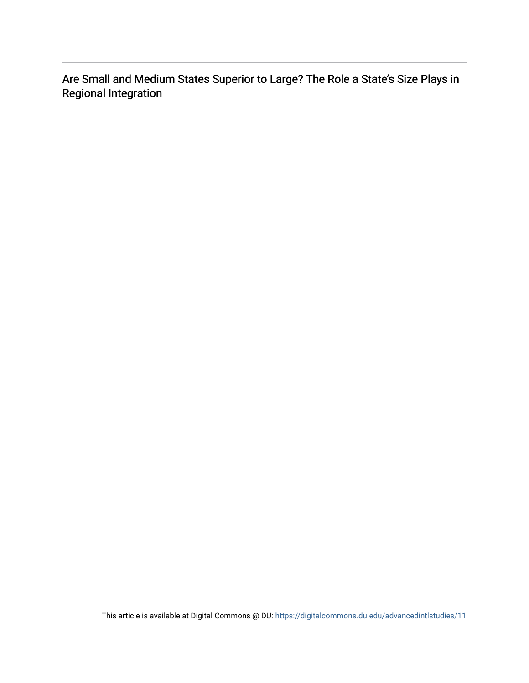Are Small and Medium States Superior to Large? The Role a State's Size Plays in Regional Integration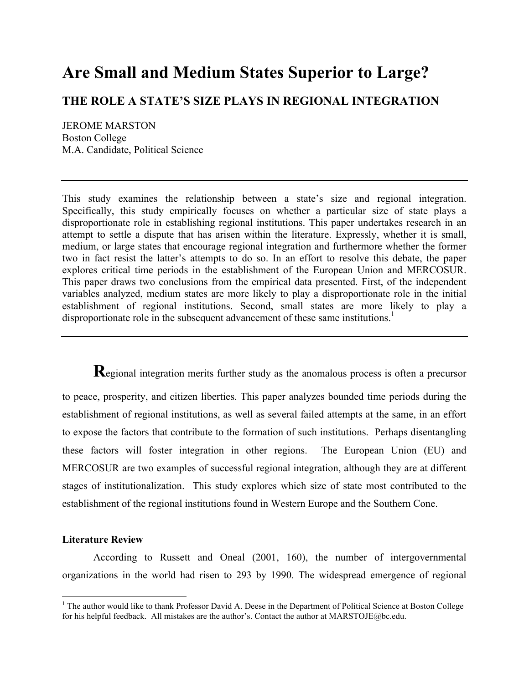# **Are Small and Medium States Superior to Large?**

# **THE ROLE A STATE'S SIZE PLAYS IN REGIONAL INTEGRATION**

JEROME MARSTON Boston College M.A. Candidate, Political Science

This study examines the relationship between a state's size and regional integration. Specifically, this study empirically focuses on whether a particular size of state plays a disproportionate role in establishing regional institutions. This paper undertakes research in an attempt to settle a dispute that has arisen within the literature. Expressly, whether it is small, medium, or large states that encourage regional integration and furthermore whether the former two in fact resist the latter's attempts to do so. In an effort to resolve this debate, the paper explores critical time periods in the establishment of the European Union and MERCOSUR. This paper draws two conclusions from the empirical data presented. First, of the independent variables analyzed, medium states are more likely to play a disproportionate role in the initial establishment of regional institutions. Second, small states are more likely to play a disproportionate role in the subsequent advancement of these same institutions.<sup>1</sup>

**R**egional integration merits further study as the anomalous process is often a precursor to peace, prosperity, and citizen liberties. This paper analyzes bounded time periods during the establishment of regional institutions, as well as several failed attempts at the same, in an effort to expose the factors that contribute to the formation of such institutions. Perhaps disentangling these factors will foster integration in other regions. The European Union (EU) and MERCOSUR are two examples of successful regional integration, although they are at different stages of institutionalization. This study explores which size of state most contributed to the establishment of the regional institutions found in Western Europe and the Southern Cone.

# **Literature Review**

According to Russett and Oneal (2001, 160), the number of intergovernmental organizations in the world had risen to 293 by 1990. The widespread emergence of regional

<sup>&</sup>lt;sup>1</sup> The author would like to thank Professor David A. Deese in the Department of Political Science at Boston College for his helpful feedback. All mistakes are the author's. Contact the author at MARSTOJE@bc.edu.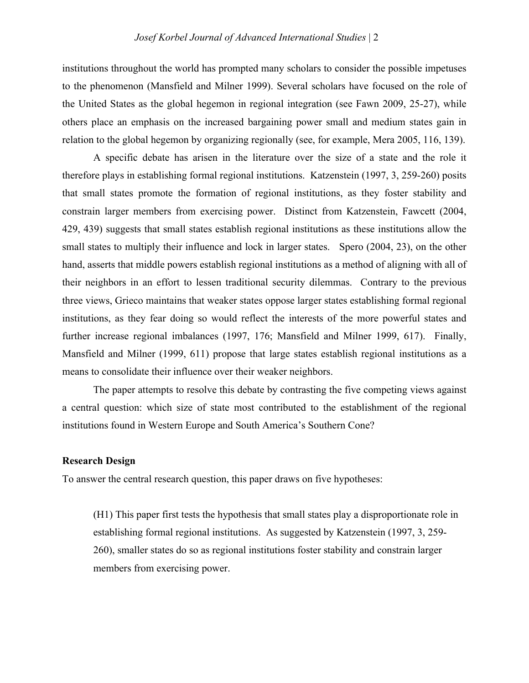institutions throughout the world has prompted many scholars to consider the possible impetuses to the phenomenon (Mansfield and Milner 1999). Several scholars have focused on the role of the United States as the global hegemon in regional integration (see Fawn 2009, 25-27), while others place an emphasis on the increased bargaining power small and medium states gain in relation to the global hegemon by organizing regionally (see, for example, Mera 2005, 116, 139).

A specific debate has arisen in the literature over the size of a state and the role it therefore plays in establishing formal regional institutions. Katzenstein (1997, 3, 259-260) posits that small states promote the formation of regional institutions, as they foster stability and constrain larger members from exercising power. Distinct from Katzenstein, Fawcett (2004, 429, 439) suggests that small states establish regional institutions as these institutions allow the small states to multiply their influence and lock in larger states. Spero (2004, 23), on the other hand, asserts that middle powers establish regional institutions as a method of aligning with all of their neighbors in an effort to lessen traditional security dilemmas. Contrary to the previous three views, Grieco maintains that weaker states oppose larger states establishing formal regional institutions, as they fear doing so would reflect the interests of the more powerful states and further increase regional imbalances (1997, 176; Mansfield and Milner 1999, 617). Finally, Mansfield and Milner (1999, 611) propose that large states establish regional institutions as a means to consolidate their influence over their weaker neighbors.

The paper attempts to resolve this debate by contrasting the five competing views against a central question: which size of state most contributed to the establishment of the regional institutions found in Western Europe and South America's Southern Cone?

#### **Research Design**

To answer the central research question, this paper draws on five hypotheses:

(H1) This paper first tests the hypothesis that small states play a disproportionate role in establishing formal regional institutions. As suggested by Katzenstein (1997, 3, 259- 260), smaller states do so as regional institutions foster stability and constrain larger members from exercising power.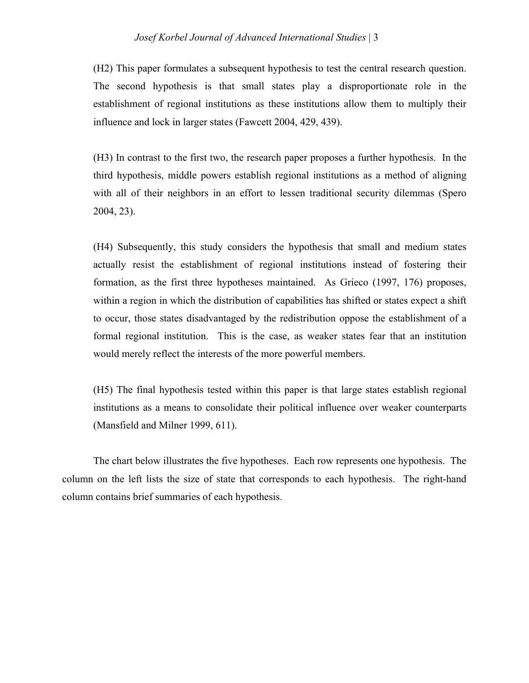# *Josef Korbel Journal of Advanced International Studies* | 3

(H2) This paper formulates a subsequent hypothesis to test the central research question. The second hypothesis is that small states play a disproportionate role in the establishment of regional institutions as these institutions allow them to multiply their influence and lock in larger states (Fawcett 2004, 429, 439).

(H3) In contrast to the first two, the research paper proposes a further hypothesis. In the third hypothesis, middle powers establish regional institutions as a method of aligning with all of their neighbors in an effort to lessen traditional security dilemmas (Spero 2004, 23).

(H4) Subsequently, this study considers the hypothesis that small and medium states actually resist the establishment of regional institutions instead of fostering their formation, as the first three hypotheses maintained. As Grieco (1997, 176) proposes, within a region in which the distribution of capabilities has shifted or states expect a shift to occur, those states disadvantaged by the redistribution oppose the establishment of a formal regional institution. This is the case, as weaker states fear that an institution would merely reflect the interests of the more powerful members.

(H5) The final hypothesis tested within this paper is that large states establish regional institutions as a means to consolidate their political influence over weaker counterparts (Mansfield and Milner 1999, 611).

The chart below illustrates the five hypotheses. Each row represents one hypothesis. The column on the left lists the size of state that corresponds to each hypothesis. The right-hand column contains brief summaries of each hypothesis.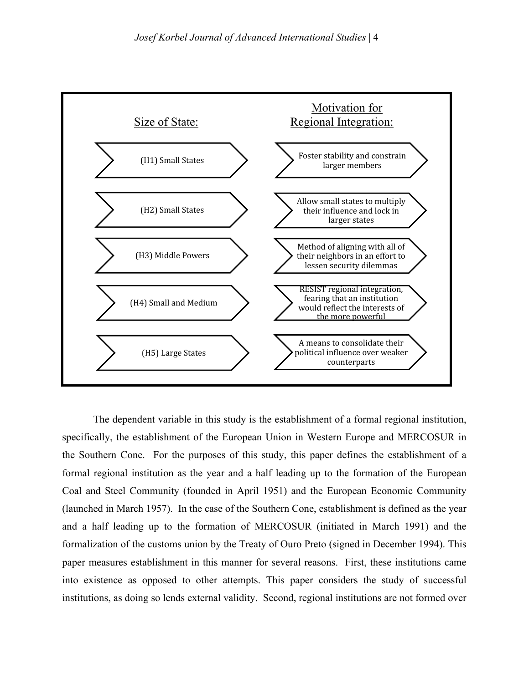

The dependent variable in this study is the establishment of a formal regional institution, specifically, the establishment of the European Union in Western Europe and MERCOSUR in the Southern Cone. For the purposes of this study, this paper defines the establishment of a formal regional institution as the year and a half leading up to the formation of the European Coal and Steel Community (founded in April 1951) and the European Economic Community (launched in March 1957). In the case of the Southern Cone, establishment is defined as the year and a half leading up to the formation of MERCOSUR (initiated in March 1991) and the formalization of the customs union by the Treaty of Ouro Preto (signed in December 1994). This paper measures establishment in this manner for several reasons. First, these institutions came into existence as opposed to other attempts. This paper considers the study of successful institutions, as doing so lends external validity. Second, regional institutions are not formed over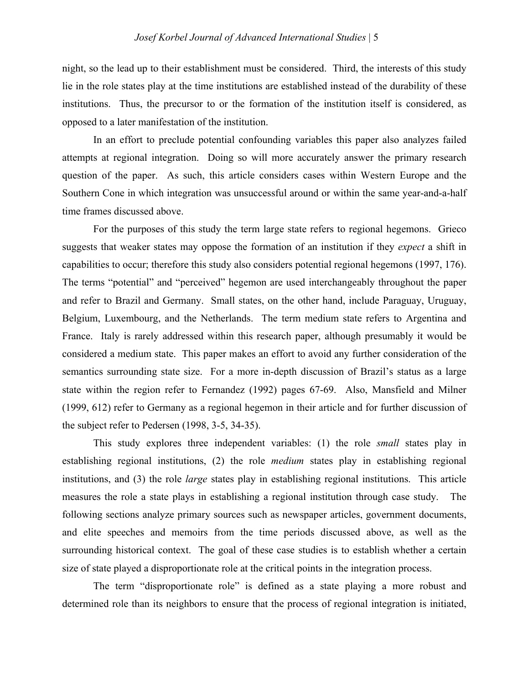night, so the lead up to their establishment must be considered. Third, the interests of this study lie in the role states play at the time institutions are established instead of the durability of these institutions. Thus, the precursor to or the formation of the institution itself is considered, as opposed to a later manifestation of the institution.

In an effort to preclude potential confounding variables this paper also analyzes failed attempts at regional integration. Doing so will more accurately answer the primary research question of the paper. As such, this article considers cases within Western Europe and the Southern Cone in which integration was unsuccessful around or within the same year-and-a-half time frames discussed above.

For the purposes of this study the term large state refers to regional hegemons. Grieco suggests that weaker states may oppose the formation of an institution if they *expect* a shift in capabilities to occur; therefore this study also considers potential regional hegemons (1997, 176). The terms "potential" and "perceived" hegemon are used interchangeably throughout the paper and refer to Brazil and Germany. Small states, on the other hand, include Paraguay, Uruguay, Belgium, Luxembourg, and the Netherlands. The term medium state refers to Argentina and France. Italy is rarely addressed within this research paper, although presumably it would be considered a medium state. This paper makes an effort to avoid any further consideration of the semantics surrounding state size. For a more in-depth discussion of Brazil's status as a large state within the region refer to Fernandez (1992) pages 67-69. Also, Mansfield and Milner (1999, 612) refer to Germany as a regional hegemon in their article and for further discussion of the subject refer to Pedersen (1998, 3-5, 34-35).

This study explores three independent variables: (1) the role *small* states play in establishing regional institutions, (2) the role *medium* states play in establishing regional institutions, and (3) the role *large* states play in establishing regional institutions. This article measures the role a state plays in establishing a regional institution through case study. The following sections analyze primary sources such as newspaper articles, government documents, and elite speeches and memoirs from the time periods discussed above, as well as the surrounding historical context. The goal of these case studies is to establish whether a certain size of state played a disproportionate role at the critical points in the integration process.

The term "disproportionate role" is defined as a state playing a more robust and determined role than its neighbors to ensure that the process of regional integration is initiated,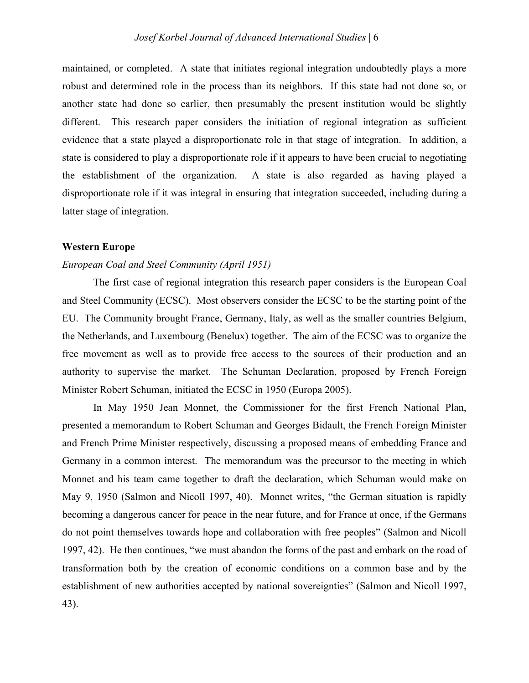maintained, or completed. A state that initiates regional integration undoubtedly plays a more robust and determined role in the process than its neighbors. If this state had not done so, or another state had done so earlier, then presumably the present institution would be slightly different. This research paper considers the initiation of regional integration as sufficient evidence that a state played a disproportionate role in that stage of integration. In addition, a state is considered to play a disproportionate role if it appears to have been crucial to negotiating the establishment of the organization. A state is also regarded as having played a disproportionate role if it was integral in ensuring that integration succeeded, including during a latter stage of integration.

# **Western Europe**

### *European Coal and Steel Community (April 1951)*

The first case of regional integration this research paper considers is the European Coal and Steel Community (ECSC). Most observers consider the ECSC to be the starting point of the EU. The Community brought France, Germany, Italy, as well as the smaller countries Belgium, the Netherlands, and Luxembourg (Benelux) together. The aim of the ECSC was to organize the free movement as well as to provide free access to the sources of their production and an authority to supervise the market. The Schuman Declaration, proposed by French Foreign Minister Robert Schuman, initiated the ECSC in 1950 (Europa 2005).

In May 1950 Jean Monnet, the Commissioner for the first French National Plan, presented a memorandum to Robert Schuman and Georges Bidault, the French Foreign Minister and French Prime Minister respectively, discussing a proposed means of embedding France and Germany in a common interest. The memorandum was the precursor to the meeting in which Monnet and his team came together to draft the declaration, which Schuman would make on May 9, 1950 (Salmon and Nicoll 1997, 40). Monnet writes, "the German situation is rapidly becoming a dangerous cancer for peace in the near future, and for France at once, if the Germans do not point themselves towards hope and collaboration with free peoples" (Salmon and Nicoll 1997, 42). He then continues, "we must abandon the forms of the past and embark on the road of transformation both by the creation of economic conditions on a common base and by the establishment of new authorities accepted by national sovereignties" (Salmon and Nicoll 1997, 43).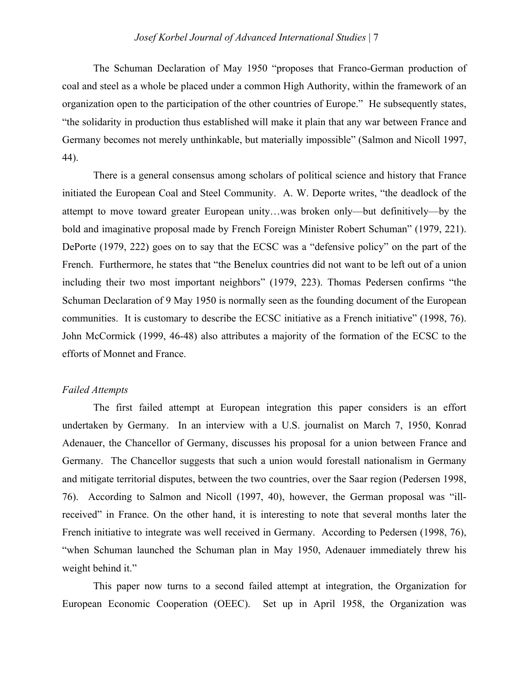The Schuman Declaration of May 1950 "proposes that Franco-German production of coal and steel as a whole be placed under a common High Authority, within the framework of an organization open to the participation of the other countries of Europe." He subsequently states, "the solidarity in production thus established will make it plain that any war between France and Germany becomes not merely unthinkable, but materially impossible" (Salmon and Nicoll 1997, 44).

There is a general consensus among scholars of political science and history that France initiated the European Coal and Steel Community. A. W. Deporte writes, "the deadlock of the attempt to move toward greater European unity…was broken only—but definitively—by the bold and imaginative proposal made by French Foreign Minister Robert Schuman" (1979, 221). DePorte (1979, 222) goes on to say that the ECSC was a "defensive policy" on the part of the French. Furthermore, he states that "the Benelux countries did not want to be left out of a union including their two most important neighbors" (1979, 223). Thomas Pedersen confirms "the Schuman Declaration of 9 May 1950 is normally seen as the founding document of the European communities. It is customary to describe the ECSC initiative as a French initiative" (1998, 76). John McCormick (1999, 46-48) also attributes a majority of the formation of the ECSC to the efforts of Monnet and France.

# *Failed Attempts*

The first failed attempt at European integration this paper considers is an effort undertaken by Germany. In an interview with a U.S. journalist on March 7, 1950, Konrad Adenauer, the Chancellor of Germany, discusses his proposal for a union between France and Germany. The Chancellor suggests that such a union would forestall nationalism in Germany and mitigate territorial disputes, between the two countries, over the Saar region (Pedersen 1998, 76). According to Salmon and Nicoll (1997, 40), however, the German proposal was "illreceived" in France. On the other hand, it is interesting to note that several months later the French initiative to integrate was well received in Germany. According to Pedersen (1998, 76), "when Schuman launched the Schuman plan in May 1950, Adenauer immediately threw his weight behind it."

This paper now turns to a second failed attempt at integration, the Organization for European Economic Cooperation (OEEC). Set up in April 1958, the Organization was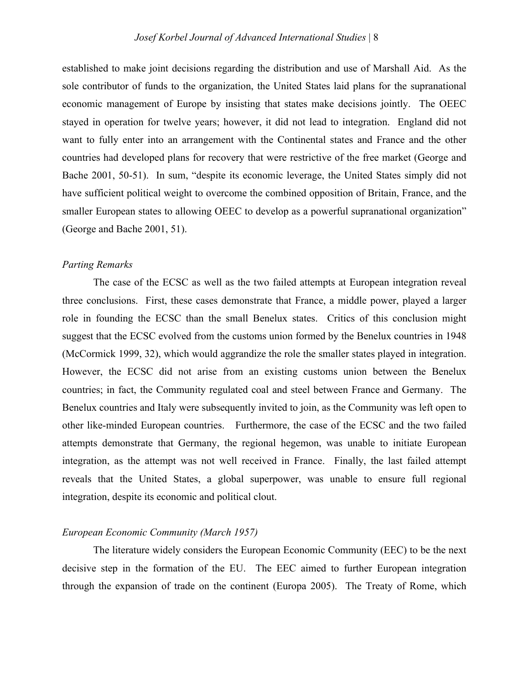established to make joint decisions regarding the distribution and use of Marshall Aid. As the sole contributor of funds to the organization, the United States laid plans for the supranational economic management of Europe by insisting that states make decisions jointly. The OEEC stayed in operation for twelve years; however, it did not lead to integration. England did not want to fully enter into an arrangement with the Continental states and France and the other countries had developed plans for recovery that were restrictive of the free market (George and Bache 2001, 50-51). In sum, "despite its economic leverage, the United States simply did not have sufficient political weight to overcome the combined opposition of Britain, France, and the smaller European states to allowing OEEC to develop as a powerful supranational organization" (George and Bache 2001, 51).

#### *Parting Remarks*

The case of the ECSC as well as the two failed attempts at European integration reveal three conclusions. First, these cases demonstrate that France, a middle power, played a larger role in founding the ECSC than the small Benelux states. Critics of this conclusion might suggest that the ECSC evolved from the customs union formed by the Benelux countries in 1948 (McCormick 1999, 32), which would aggrandize the role the smaller states played in integration. However, the ECSC did not arise from an existing customs union between the Benelux countries; in fact, the Community regulated coal and steel between France and Germany. The Benelux countries and Italy were subsequently invited to join, as the Community was left open to other like-minded European countries. Furthermore, the case of the ECSC and the two failed attempts demonstrate that Germany, the regional hegemon, was unable to initiate European integration, as the attempt was not well received in France. Finally, the last failed attempt reveals that the United States, a global superpower, was unable to ensure full regional integration, despite its economic and political clout.

## *European Economic Community (March 1957)*

The literature widely considers the European Economic Community (EEC) to be the next decisive step in the formation of the EU. The EEC aimed to further European integration through the expansion of trade on the continent (Europa 2005). The Treaty of Rome, which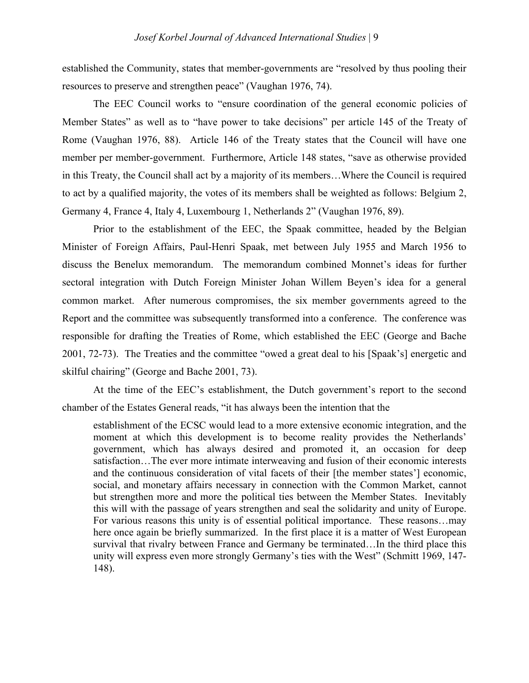established the Community, states that member-governments are "resolved by thus pooling their resources to preserve and strengthen peace" (Vaughan 1976, 74).

The EEC Council works to "ensure coordination of the general economic policies of Member States" as well as to "have power to take decisions" per article 145 of the Treaty of Rome (Vaughan 1976, 88). Article 146 of the Treaty states that the Council will have one member per member-government. Furthermore, Article 148 states, "save as otherwise provided in this Treaty, the Council shall act by a majority of its members…Where the Council is required to act by a qualified majority, the votes of its members shall be weighted as follows: Belgium 2, Germany 4, France 4, Italy 4, Luxembourg 1, Netherlands 2" (Vaughan 1976, 89).

Prior to the establishment of the EEC, the Spaak committee, headed by the Belgian Minister of Foreign Affairs, Paul-Henri Spaak, met between July 1955 and March 1956 to discuss the Benelux memorandum. The memorandum combined Monnet's ideas for further sectoral integration with Dutch Foreign Minister Johan Willem Beyen's idea for a general common market. After numerous compromises, the six member governments agreed to the Report and the committee was subsequently transformed into a conference. The conference was responsible for drafting the Treaties of Rome, which established the EEC (George and Bache 2001, 72-73). The Treaties and the committee "owed a great deal to his [Spaak's] energetic and skilful chairing" (George and Bache 2001, 73).

At the time of the EEC's establishment, the Dutch government's report to the second chamber of the Estates General reads, "it has always been the intention that the

establishment of the ECSC would lead to a more extensive economic integration, and the moment at which this development is to become reality provides the Netherlands' government, which has always desired and promoted it, an occasion for deep satisfaction…The ever more intimate interweaving and fusion of their economic interests and the continuous consideration of vital facets of their [the member states'] economic, social, and monetary affairs necessary in connection with the Common Market, cannot but strengthen more and more the political ties between the Member States. Inevitably this will with the passage of years strengthen and seal the solidarity and unity of Europe. For various reasons this unity is of essential political importance. These reasons…may here once again be briefly summarized. In the first place it is a matter of West European survival that rivalry between France and Germany be terminated…In the third place this unity will express even more strongly Germany's ties with the West" (Schmitt 1969, 147- 148).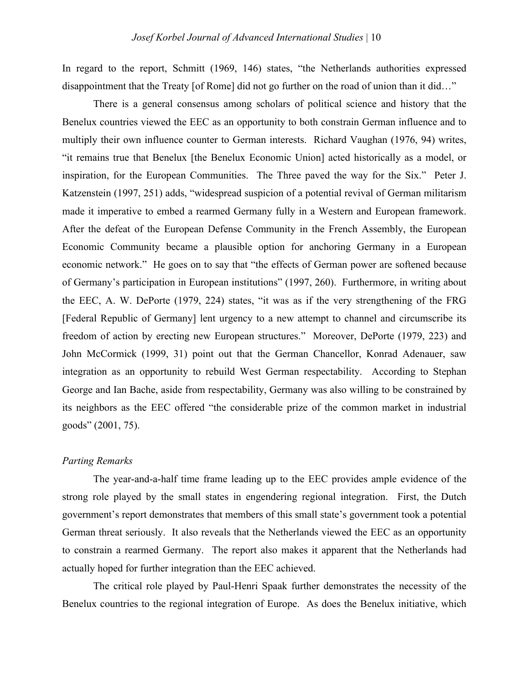In regard to the report, Schmitt (1969, 146) states, "the Netherlands authorities expressed disappointment that the Treaty [of Rome] did not go further on the road of union than it did…"

There is a general consensus among scholars of political science and history that the Benelux countries viewed the EEC as an opportunity to both constrain German influence and to multiply their own influence counter to German interests. Richard Vaughan (1976, 94) writes, "it remains true that Benelux [the Benelux Economic Union] acted historically as a model, or inspiration, for the European Communities. The Three paved the way for the Six." Peter J. Katzenstein (1997, 251) adds, "widespread suspicion of a potential revival of German militarism made it imperative to embed a rearmed Germany fully in a Western and European framework. After the defeat of the European Defense Community in the French Assembly, the European Economic Community became a plausible option for anchoring Germany in a European economic network." He goes on to say that "the effects of German power are softened because of Germany's participation in European institutions" (1997, 260). Furthermore, in writing about the EEC, A. W. DePorte (1979, 224) states, "it was as if the very strengthening of the FRG [Federal Republic of Germany] lent urgency to a new attempt to channel and circumscribe its freedom of action by erecting new European structures." Moreover, DePorte (1979, 223) and John McCormick (1999, 31) point out that the German Chancellor, Konrad Adenauer, saw integration as an opportunity to rebuild West German respectability. According to Stephan George and Ian Bache, aside from respectability, Germany was also willing to be constrained by its neighbors as the EEC offered "the considerable prize of the common market in industrial goods" (2001, 75).

# *Parting Remarks*

The year-and-a-half time frame leading up to the EEC provides ample evidence of the strong role played by the small states in engendering regional integration. First, the Dutch government's report demonstrates that members of this small state's government took a potential German threat seriously. It also reveals that the Netherlands viewed the EEC as an opportunity to constrain a rearmed Germany. The report also makes it apparent that the Netherlands had actually hoped for further integration than the EEC achieved.

The critical role played by Paul-Henri Spaak further demonstrates the necessity of the Benelux countries to the regional integration of Europe. As does the Benelux initiative, which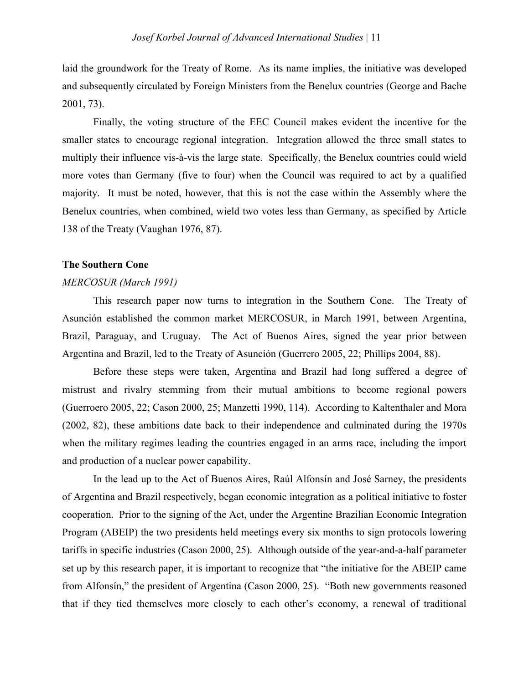laid the groundwork for the Treaty of Rome. As its name implies, the initiative was developed and subsequently circulated by Foreign Ministers from the Benelux countries (George and Bache 2001, 73).

Finally, the voting structure of the EEC Council makes evident the incentive for the smaller states to encourage regional integration. Integration allowed the three small states to multiply their influence vis-à-vis the large state. Specifically, the Benelux countries could wield more votes than Germany (five to four) when the Council was required to act by a qualified majority. It must be noted, however, that this is not the case within the Assembly where the Benelux countries, when combined, wield two votes less than Germany, as specified by Article 138 of the Treaty (Vaughan 1976, 87).

#### **The Southern Cone**

### *MERCOSUR (March 1991)*

This research paper now turns to integration in the Southern Cone. The Treaty of Asunción established the common market MERCOSUR, in March 1991, between Argentina, Brazil, Paraguay, and Uruguay. The Act of Buenos Aires, signed the year prior between Argentina and Brazil, led to the Treaty of Asunción (Guerrero 2005, 22; Phillips 2004, 88).

Before these steps were taken, Argentina and Brazil had long suffered a degree of mistrust and rivalry stemming from their mutual ambitions to become regional powers (Guerroero 2005, 22; Cason 2000, 25; Manzetti 1990, 114). According to Kaltenthaler and Mora (2002, 82), these ambitions date back to their independence and culminated during the 1970s when the military regimes leading the countries engaged in an arms race, including the import and production of a nuclear power capability.

In the lead up to the Act of Buenos Aires, Raúl Alfonsín and José Sarney, the presidents of Argentina and Brazil respectively, began economic integration as a political initiative to foster cooperation. Prior to the signing of the Act, under the Argentine Brazilian Economic Integration Program (ABEIP) the two presidents held meetings every six months to sign protocols lowering tariffs in specific industries (Cason 2000, 25). Although outside of the year-and-a-half parameter set up by this research paper, it is important to recognize that "the initiative for the ABEIP came from Alfonsín," the president of Argentina (Cason 2000, 25). "Both new governments reasoned that if they tied themselves more closely to each other's economy, a renewal of traditional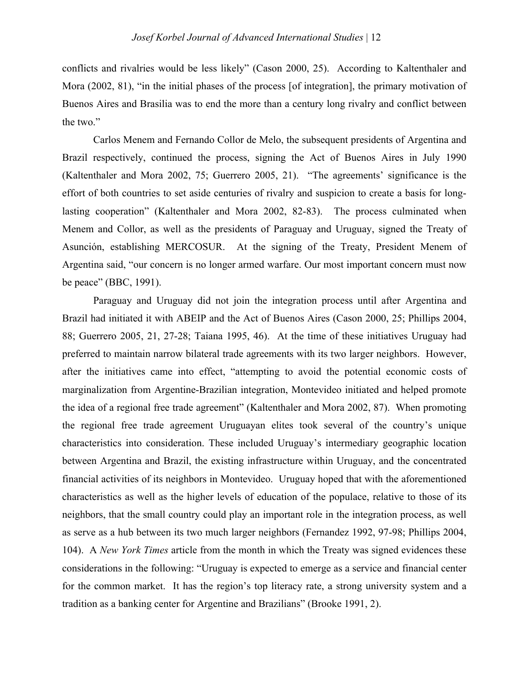conflicts and rivalries would be less likely" (Cason 2000, 25). According to Kaltenthaler and Mora (2002, 81), "in the initial phases of the process [of integration], the primary motivation of Buenos Aires and Brasilia was to end the more than a century long rivalry and conflict between the two."

Carlos Menem and Fernando Collor de Melo, the subsequent presidents of Argentina and Brazil respectively, continued the process, signing the Act of Buenos Aires in July 1990 (Kaltenthaler and Mora 2002, 75; Guerrero 2005, 21). "The agreements' significance is the effort of both countries to set aside centuries of rivalry and suspicion to create a basis for longlasting cooperation" (Kaltenthaler and Mora 2002, 82-83). The process culminated when Menem and Collor, as well as the presidents of Paraguay and Uruguay, signed the Treaty of Asunción, establishing MERCOSUR. At the signing of the Treaty, President Menem of Argentina said, "our concern is no longer armed warfare. Our most important concern must now be peace" (BBC, 1991).

Paraguay and Uruguay did not join the integration process until after Argentina and Brazil had initiated it with ABEIP and the Act of Buenos Aires (Cason 2000, 25; Phillips 2004, 88; Guerrero 2005, 21, 27-28; Taiana 1995, 46). At the time of these initiatives Uruguay had preferred to maintain narrow bilateral trade agreements with its two larger neighbors. However, after the initiatives came into effect, "attempting to avoid the potential economic costs of marginalization from Argentine-Brazilian integration, Montevideo initiated and helped promote the idea of a regional free trade agreement" (Kaltenthaler and Mora 2002, 87). When promoting the regional free trade agreement Uruguayan elites took several of the country's unique characteristics into consideration. These included Uruguay's intermediary geographic location between Argentina and Brazil, the existing infrastructure within Uruguay, and the concentrated financial activities of its neighbors in Montevideo. Uruguay hoped that with the aforementioned characteristics as well as the higher levels of education of the populace, relative to those of its neighbors, that the small country could play an important role in the integration process, as well as serve as a hub between its two much larger neighbors (Fernandez 1992, 97-98; Phillips 2004, 104). A *New York Times* article from the month in which the Treaty was signed evidences these considerations in the following: "Uruguay is expected to emerge as a service and financial center for the common market. It has the region's top literacy rate, a strong university system and a tradition as a banking center for Argentine and Brazilians" (Brooke 1991, 2).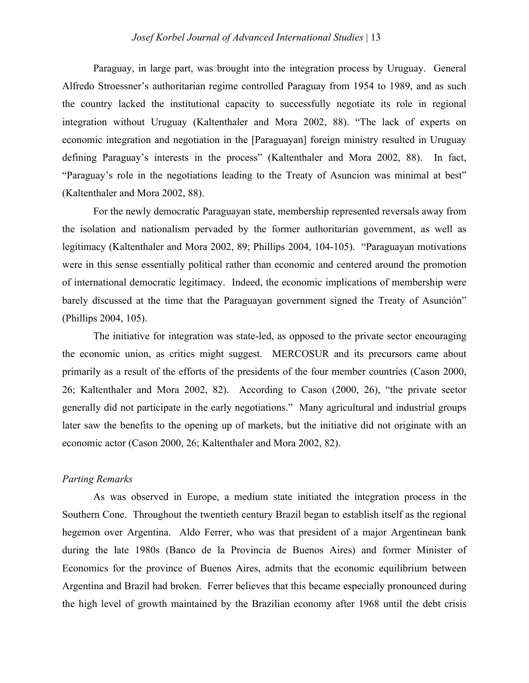Paraguay, in large part, was brought into the integration process by Uruguay. General Alfredo Stroessner's authoritarian regime controlled Paraguay from 1954 to 1989, and as such the country lacked the institutional capacity to successfully negotiate its role in regional integration without Uruguay (Kaltenthaler and Mora 2002, 88). "The lack of experts on economic integration and negotiation in the [Paraguayan] foreign ministry resulted in Uruguay defining Paraguay's interests in the process" (Kaltenthaler and Mora 2002, 88). In fact, "Paraguay's role in the negotiations leading to the Treaty of Asuncion was minimal at best" (Kaltenthaler and Mora 2002, 88).

For the newly democratic Paraguayan state, membership represented reversals away from the isolation and nationalism pervaded by the former authoritarian government, as well as legitimacy (Kaltenthaler and Mora 2002, 89; Phillips 2004, 104-105). "Paraguayan motivations were in this sense essentially political rather than economic and centered around the promotion of international democratic legitimacy. Indeed, the economic implications of membership were barely discussed at the time that the Paraguayan government signed the Treaty of Asunción" (Phillips 2004, 105).

The initiative for integration was state-led, as opposed to the private sector encouraging the economic union, as critics might suggest. MERCOSUR and its precursors came about primarily as a result of the efforts of the presidents of the four member countries (Cason 2000, 26; Kaltenthaler and Mora 2002, 82). According to Cason (2000, 26), "the private sector generally did not participate in the early negotiations." Many agricultural and industrial groups later saw the benefits to the opening up of markets, but the initiative did not originate with an economic actor (Cason 2000, 26; Kaltenthaler and Mora 2002, 82).

# *Parting Remarks*

As was observed in Europe, a medium state initiated the integration process in the Southern Cone. Throughout the twentieth century Brazil began to establish itself as the regional hegemon over Argentina. Aldo Ferrer, who was that president of a major Argentinean bank during the late 1980s (Banco de la Provincia de Buenos Aires) and former Minister of Economics for the province of Buenos Aires, admits that the economic equilibrium between Argentina and Brazil had broken. Ferrer believes that this became especially pronounced during the high level of growth maintained by the Brazilian economy after 1968 until the debt crisis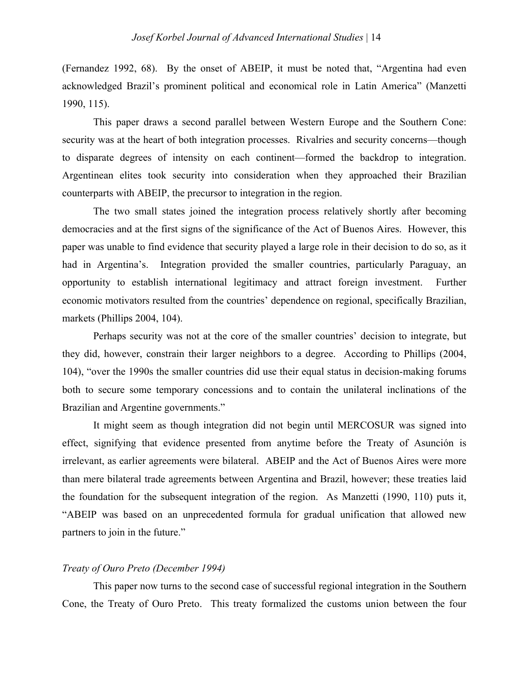(Fernandez 1992, 68). By the onset of ABEIP, it must be noted that, "Argentina had even acknowledged Brazil's prominent political and economical role in Latin America" (Manzetti 1990, 115).

This paper draws a second parallel between Western Europe and the Southern Cone: security was at the heart of both integration processes. Rivalries and security concerns—though to disparate degrees of intensity on each continent—formed the backdrop to integration. Argentinean elites took security into consideration when they approached their Brazilian counterparts with ABEIP, the precursor to integration in the region.

The two small states joined the integration process relatively shortly after becoming democracies and at the first signs of the significance of the Act of Buenos Aires. However, this paper was unable to find evidence that security played a large role in their decision to do so, as it had in Argentina's. Integration provided the smaller countries, particularly Paraguay, an opportunity to establish international legitimacy and attract foreign investment. Further economic motivators resulted from the countries' dependence on regional, specifically Brazilian, markets (Phillips 2004, 104).

Perhaps security was not at the core of the smaller countries' decision to integrate, but they did, however, constrain their larger neighbors to a degree. According to Phillips (2004, 104), "over the 1990s the smaller countries did use their equal status in decision-making forums both to secure some temporary concessions and to contain the unilateral inclinations of the Brazilian and Argentine governments."

It might seem as though integration did not begin until MERCOSUR was signed into effect, signifying that evidence presented from anytime before the Treaty of Asunción is irrelevant, as earlier agreements were bilateral. ABEIP and the Act of Buenos Aires were more than mere bilateral trade agreements between Argentina and Brazil, however; these treaties laid the foundation for the subsequent integration of the region. As Manzetti (1990, 110) puts it, "ABEIP was based on an unprecedented formula for gradual unification that allowed new partners to join in the future."

# *Treaty of Ouro Preto (December 1994)*

This paper now turns to the second case of successful regional integration in the Southern Cone, the Treaty of Ouro Preto. This treaty formalized the customs union between the four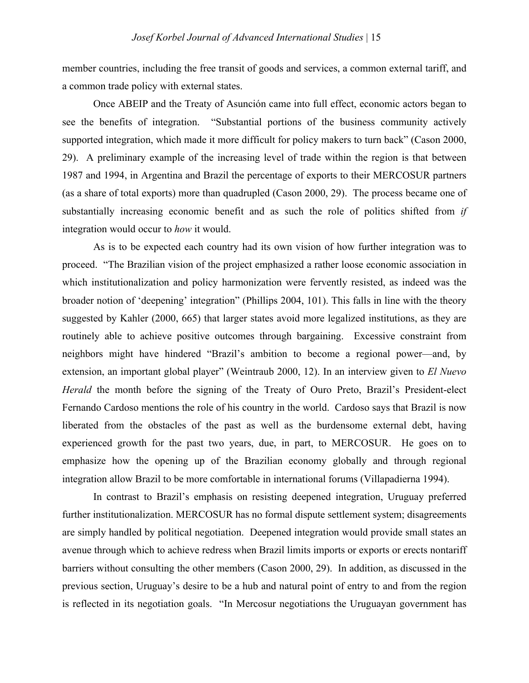member countries, including the free transit of goods and services, a common external tariff, and a common trade policy with external states.

Once ABEIP and the Treaty of Asunción came into full effect, economic actors began to see the benefits of integration. "Substantial portions of the business community actively supported integration, which made it more difficult for policy makers to turn back" (Cason 2000, 29). A preliminary example of the increasing level of trade within the region is that between 1987 and 1994, in Argentina and Brazil the percentage of exports to their MERCOSUR partners (as a share of total exports) more than quadrupled (Cason 2000, 29). The process became one of substantially increasing economic benefit and as such the role of politics shifted from *if* integration would occur to *how* it would.

As is to be expected each country had its own vision of how further integration was to proceed. "The Brazilian vision of the project emphasized a rather loose economic association in which institutionalization and policy harmonization were fervently resisted, as indeed was the broader notion of 'deepening' integration" (Phillips 2004, 101). This falls in line with the theory suggested by Kahler (2000, 665) that larger states avoid more legalized institutions, as they are routinely able to achieve positive outcomes through bargaining. Excessive constraint from neighbors might have hindered "Brazil's ambition to become a regional power—and, by extension, an important global player" (Weintraub 2000, 12). In an interview given to *El Nuevo Herald* the month before the signing of the Treaty of Ouro Preto, Brazil's President-elect Fernando Cardoso mentions the role of his country in the world. Cardoso says that Brazil is now liberated from the obstacles of the past as well as the burdensome external debt, having experienced growth for the past two years, due, in part, to MERCOSUR. He goes on to emphasize how the opening up of the Brazilian economy globally and through regional integration allow Brazil to be more comfortable in international forums (Villapadierna 1994).

In contrast to Brazil's emphasis on resisting deepened integration, Uruguay preferred further institutionalization. MERCOSUR has no formal dispute settlement system; disagreements are simply handled by political negotiation. Deepened integration would provide small states an avenue through which to achieve redress when Brazil limits imports or exports or erects nontariff barriers without consulting the other members (Cason 2000, 29). In addition, as discussed in the previous section, Uruguay's desire to be a hub and natural point of entry to and from the region is reflected in its negotiation goals. "In Mercosur negotiations the Uruguayan government has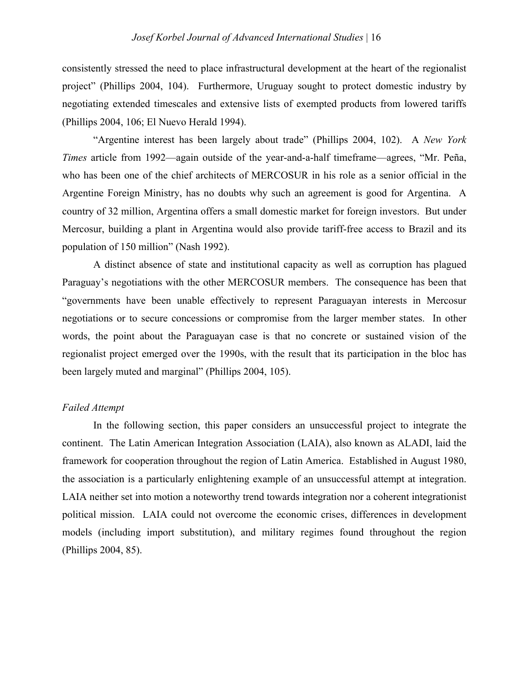consistently stressed the need to place infrastructural development at the heart of the regionalist project" (Phillips 2004, 104). Furthermore, Uruguay sought to protect domestic industry by negotiating extended timescales and extensive lists of exempted products from lowered tariffs (Phillips 2004, 106; El Nuevo Herald 1994).

"Argentine interest has been largely about trade" (Phillips 2004, 102). A *New York Times* article from 1992—again outside of the year-and-a-half timeframe—agrees, "Mr. Peña, who has been one of the chief architects of MERCOSUR in his role as a senior official in the Argentine Foreign Ministry, has no doubts why such an agreement is good for Argentina. A country of 32 million, Argentina offers a small domestic market for foreign investors. But under Mercosur, building a plant in Argentina would also provide tariff-free access to Brazil and its population of 150 million" (Nash 1992).

A distinct absence of state and institutional capacity as well as corruption has plagued Paraguay's negotiations with the other MERCOSUR members. The consequence has been that "governments have been unable effectively to represent Paraguayan interests in Mercosur negotiations or to secure concessions or compromise from the larger member states. In other words, the point about the Paraguayan case is that no concrete or sustained vision of the regionalist project emerged over the 1990s, with the result that its participation in the bloc has been largely muted and marginal" (Phillips 2004, 105).

# *Failed Attempt*

In the following section, this paper considers an unsuccessful project to integrate the continent. The Latin American Integration Association (LAIA), also known as ALADI, laid the framework for cooperation throughout the region of Latin America. Established in August 1980, the association is a particularly enlightening example of an unsuccessful attempt at integration. LAIA neither set into motion a noteworthy trend towards integration nor a coherent integrationist political mission. LAIA could not overcome the economic crises, differences in development models (including import substitution), and military regimes found throughout the region (Phillips 2004, 85).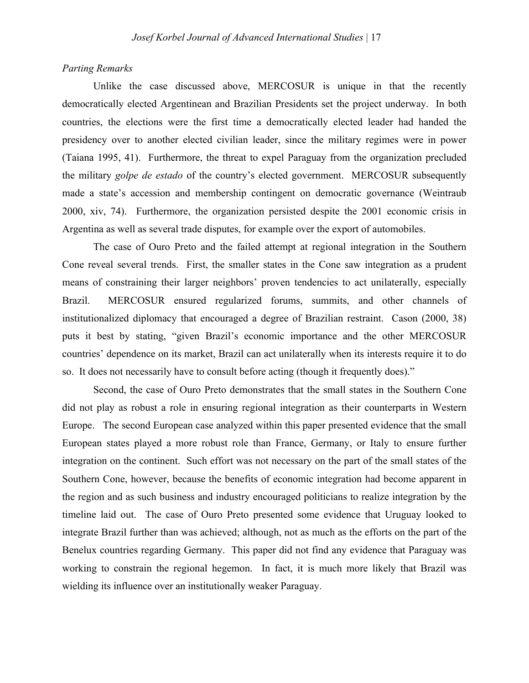# *Parting Remarks*

Unlike the case discussed above, MERCOSUR is unique in that the recently democratically elected Argentinean and Brazilian Presidents set the project underway. In both countries, the elections were the first time a democratically elected leader had handed the presidency over to another elected civilian leader, since the military regimes were in power (Taiana 1995, 41). Furthermore, the threat to expel Paraguay from the organization precluded the military *golpe de estado* of the country's elected government. MERCOSUR subsequently made a state's accession and membership contingent on democratic governance (Weintraub 2000, xiv, 74). Furthermore, the organization persisted despite the 2001 economic crisis in Argentina as well as several trade disputes, for example over the export of automobiles.

The case of Ouro Preto and the failed attempt at regional integration in the Southern Cone reveal several trends. First, the smaller states in the Cone saw integration as a prudent means of constraining their larger neighbors' proven tendencies to act unilaterally, especially Brazil. MERCOSUR ensured regularized forums, summits, and other channels of institutionalized diplomacy that encouraged a degree of Brazilian restraint. Cason (2000, 38) puts it best by stating, "given Brazil's economic importance and the other MERCOSUR countries' dependence on its market, Brazil can act unilaterally when its interests require it to do so. It does not necessarily have to consult before acting (though it frequently does)."

Second, the case of Ouro Preto demonstrates that the small states in the Southern Cone did not play as robust a role in ensuring regional integration as their counterparts in Western Europe. The second European case analyzed within this paper presented evidence that the small European states played a more robust role than France, Germany, or Italy to ensure further integration on the continent. Such effort was not necessary on the part of the small states of the Southern Cone, however, because the benefits of economic integration had become apparent in the region and as such business and industry encouraged politicians to realize integration by the timeline laid out. The case of Ouro Preto presented some evidence that Uruguay looked to integrate Brazil further than was achieved; although, not as much as the efforts on the part of the Benelux countries regarding Germany. This paper did not find any evidence that Paraguay was working to constrain the regional hegemon. In fact, it is much more likely that Brazil was wielding its influence over an institutionally weaker Paraguay.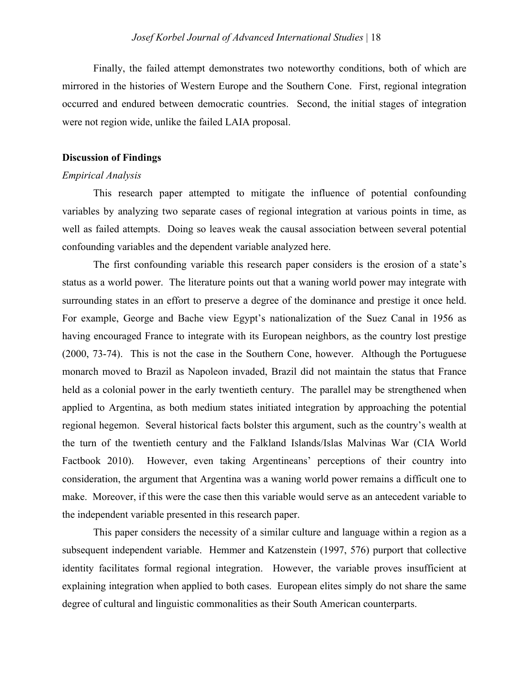Finally, the failed attempt demonstrates two noteworthy conditions, both of which are mirrored in the histories of Western Europe and the Southern Cone. First, regional integration occurred and endured between democratic countries. Second, the initial stages of integration were not region wide, unlike the failed LAIA proposal.

### **Discussion of Findings**

## *Empirical Analysis*

This research paper attempted to mitigate the influence of potential confounding variables by analyzing two separate cases of regional integration at various points in time, as well as failed attempts. Doing so leaves weak the causal association between several potential confounding variables and the dependent variable analyzed here.

The first confounding variable this research paper considers is the erosion of a state's status as a world power. The literature points out that a waning world power may integrate with surrounding states in an effort to preserve a degree of the dominance and prestige it once held. For example, George and Bache view Egypt's nationalization of the Suez Canal in 1956 as having encouraged France to integrate with its European neighbors, as the country lost prestige (2000, 73-74). This is not the case in the Southern Cone, however. Although the Portuguese monarch moved to Brazil as Napoleon invaded, Brazil did not maintain the status that France held as a colonial power in the early twentieth century. The parallel may be strengthened when applied to Argentina, as both medium states initiated integration by approaching the potential regional hegemon. Several historical facts bolster this argument, such as the country's wealth at the turn of the twentieth century and the Falkland Islands/Islas Malvinas War (CIA World Factbook 2010). However, even taking Argentineans' perceptions of their country into consideration, the argument that Argentina was a waning world power remains a difficult one to make. Moreover, if this were the case then this variable would serve as an antecedent variable to the independent variable presented in this research paper.

This paper considers the necessity of a similar culture and language within a region as a subsequent independent variable. Hemmer and Katzenstein (1997, 576) purport that collective identity facilitates formal regional integration. However, the variable proves insufficient at explaining integration when applied to both cases. European elites simply do not share the same degree of cultural and linguistic commonalities as their South American counterparts.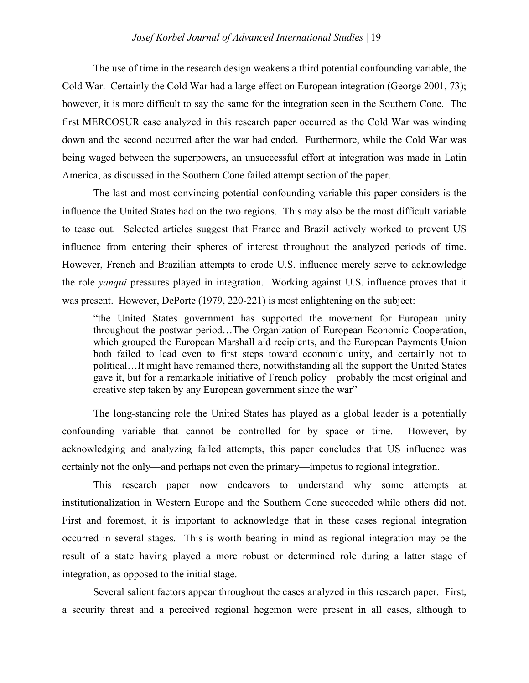# *Josef Korbel Journal of Advanced International Studies* | 19

The use of time in the research design weakens a third potential confounding variable, the Cold War. Certainly the Cold War had a large effect on European integration (George 2001, 73); however, it is more difficult to say the same for the integration seen in the Southern Cone. The first MERCOSUR case analyzed in this research paper occurred as the Cold War was winding down and the second occurred after the war had ended. Furthermore, while the Cold War was being waged between the superpowers, an unsuccessful effort at integration was made in Latin America, as discussed in the Southern Cone failed attempt section of the paper.

The last and most convincing potential confounding variable this paper considers is the influence the United States had on the two regions. This may also be the most difficult variable to tease out. Selected articles suggest that France and Brazil actively worked to prevent US influence from entering their spheres of interest throughout the analyzed periods of time. However, French and Brazilian attempts to erode U.S. influence merely serve to acknowledge the role *yanqui* pressures played in integration. Working against U.S. influence proves that it was present. However, DePorte (1979, 220-221) is most enlightening on the subject:

"the United States government has supported the movement for European unity throughout the postwar period…The Organization of European Economic Cooperation, which grouped the European Marshall aid recipients, and the European Payments Union both failed to lead even to first steps toward economic unity, and certainly not to political…It might have remained there, notwithstanding all the support the United States gave it, but for a remarkable initiative of French policy—probably the most original and creative step taken by any European government since the war"

The long-standing role the United States has played as a global leader is a potentially confounding variable that cannot be controlled for by space or time. However, by acknowledging and analyzing failed attempts, this paper concludes that US influence was certainly not the only—and perhaps not even the primary—impetus to regional integration.

This research paper now endeavors to understand why some attempts at institutionalization in Western Europe and the Southern Cone succeeded while others did not. First and foremost, it is important to acknowledge that in these cases regional integration occurred in several stages. This is worth bearing in mind as regional integration may be the result of a state having played a more robust or determined role during a latter stage of integration, as opposed to the initial stage.

Several salient factors appear throughout the cases analyzed in this research paper. First, a security threat and a perceived regional hegemon were present in all cases, although to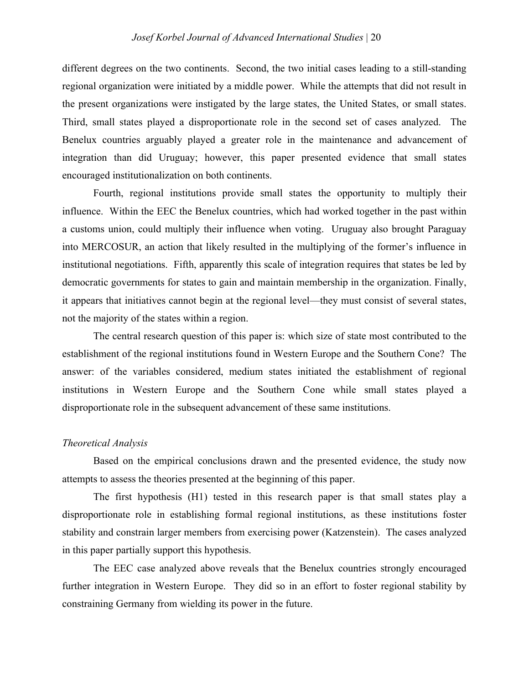different degrees on the two continents. Second, the two initial cases leading to a still-standing regional organization were initiated by a middle power. While the attempts that did not result in the present organizations were instigated by the large states, the United States, or small states. Third, small states played a disproportionate role in the second set of cases analyzed. The Benelux countries arguably played a greater role in the maintenance and advancement of integration than did Uruguay; however, this paper presented evidence that small states encouraged institutionalization on both continents.

Fourth, regional institutions provide small states the opportunity to multiply their influence. Within the EEC the Benelux countries, which had worked together in the past within a customs union, could multiply their influence when voting. Uruguay also brought Paraguay into MERCOSUR, an action that likely resulted in the multiplying of the former's influence in institutional negotiations. Fifth, apparently this scale of integration requires that states be led by democratic governments for states to gain and maintain membership in the organization. Finally, it appears that initiatives cannot begin at the regional level—they must consist of several states, not the majority of the states within a region.

The central research question of this paper is: which size of state most contributed to the establishment of the regional institutions found in Western Europe and the Southern Cone? The answer: of the variables considered, medium states initiated the establishment of regional institutions in Western Europe and the Southern Cone while small states played a disproportionate role in the subsequent advancement of these same institutions.

# *Theoretical Analysis*

Based on the empirical conclusions drawn and the presented evidence, the study now attempts to assess the theories presented at the beginning of this paper.

The first hypothesis (H1) tested in this research paper is that small states play a disproportionate role in establishing formal regional institutions, as these institutions foster stability and constrain larger members from exercising power (Katzenstein). The cases analyzed in this paper partially support this hypothesis.

The EEC case analyzed above reveals that the Benelux countries strongly encouraged further integration in Western Europe. They did so in an effort to foster regional stability by constraining Germany from wielding its power in the future.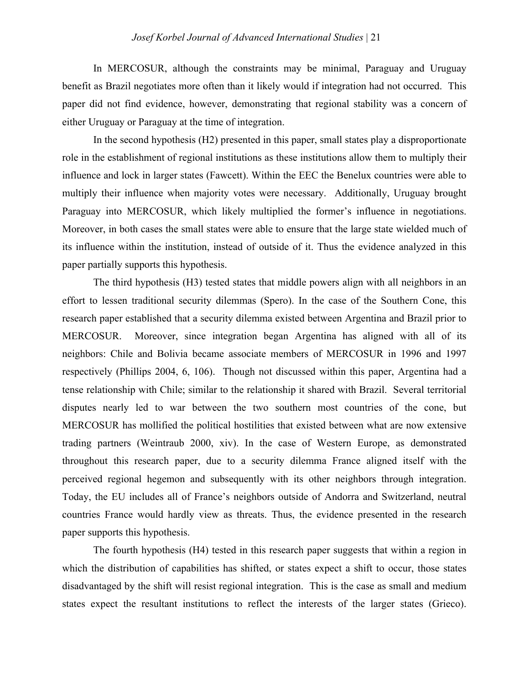# *Josef Korbel Journal of Advanced International Studies* | 21

In MERCOSUR, although the constraints may be minimal, Paraguay and Uruguay benefit as Brazil negotiates more often than it likely would if integration had not occurred. This paper did not find evidence, however, demonstrating that regional stability was a concern of either Uruguay or Paraguay at the time of integration.

In the second hypothesis (H2) presented in this paper, small states play a disproportionate role in the establishment of regional institutions as these institutions allow them to multiply their influence and lock in larger states (Fawcett). Within the EEC the Benelux countries were able to multiply their influence when majority votes were necessary. Additionally, Uruguay brought Paraguay into MERCOSUR, which likely multiplied the former's influence in negotiations. Moreover, in both cases the small states were able to ensure that the large state wielded much of its influence within the institution, instead of outside of it. Thus the evidence analyzed in this paper partially supports this hypothesis.

The third hypothesis (H3) tested states that middle powers align with all neighbors in an effort to lessen traditional security dilemmas (Spero). In the case of the Southern Cone, this research paper established that a security dilemma existed between Argentina and Brazil prior to MERCOSUR. Moreover, since integration began Argentina has aligned with all of its neighbors: Chile and Bolivia became associate members of MERCOSUR in 1996 and 1997 respectively (Phillips 2004, 6, 106). Though not discussed within this paper, Argentina had a tense relationship with Chile; similar to the relationship it shared with Brazil. Several territorial disputes nearly led to war between the two southern most countries of the cone, but MERCOSUR has mollified the political hostilities that existed between what are now extensive trading partners (Weintraub 2000, xiv). In the case of Western Europe, as demonstrated throughout this research paper, due to a security dilemma France aligned itself with the perceived regional hegemon and subsequently with its other neighbors through integration. Today, the EU includes all of France's neighbors outside of Andorra and Switzerland, neutral countries France would hardly view as threats. Thus, the evidence presented in the research paper supports this hypothesis.

The fourth hypothesis (H4) tested in this research paper suggests that within a region in which the distribution of capabilities has shifted, or states expect a shift to occur, those states disadvantaged by the shift will resist regional integration. This is the case as small and medium states expect the resultant institutions to reflect the interests of the larger states (Grieco).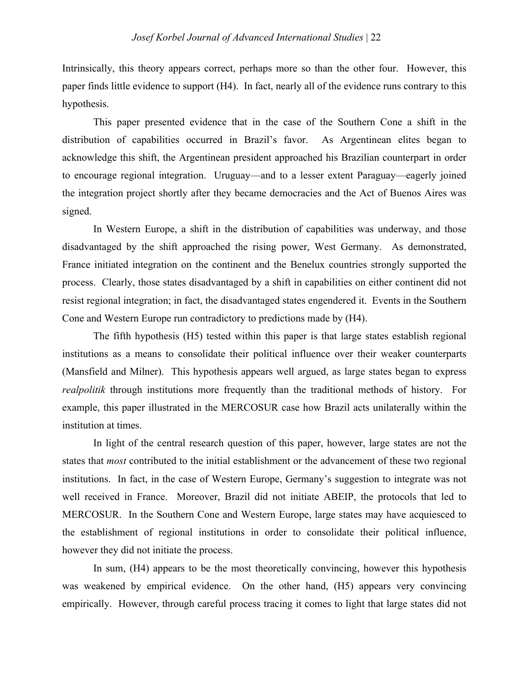Intrinsically, this theory appears correct, perhaps more so than the other four. However, this paper finds little evidence to support (H4). In fact, nearly all of the evidence runs contrary to this hypothesis.

This paper presented evidence that in the case of the Southern Cone a shift in the distribution of capabilities occurred in Brazil's favor. As Argentinean elites began to acknowledge this shift, the Argentinean president approached his Brazilian counterpart in order to encourage regional integration. Uruguay—and to a lesser extent Paraguay—eagerly joined the integration project shortly after they became democracies and the Act of Buenos Aires was signed.

In Western Europe, a shift in the distribution of capabilities was underway, and those disadvantaged by the shift approached the rising power, West Germany. As demonstrated, France initiated integration on the continent and the Benelux countries strongly supported the process. Clearly, those states disadvantaged by a shift in capabilities on either continent did not resist regional integration; in fact, the disadvantaged states engendered it. Events in the Southern Cone and Western Europe run contradictory to predictions made by (H4).

The fifth hypothesis (H5) tested within this paper is that large states establish regional institutions as a means to consolidate their political influence over their weaker counterparts (Mansfield and Milner). This hypothesis appears well argued, as large states began to express *realpolitik* through institutions more frequently than the traditional methods of history. For example, this paper illustrated in the MERCOSUR case how Brazil acts unilaterally within the institution at times.

In light of the central research question of this paper, however, large states are not the states that *most* contributed to the initial establishment or the advancement of these two regional institutions. In fact, in the case of Western Europe, Germany's suggestion to integrate was not well received in France. Moreover, Brazil did not initiate ABEIP, the protocols that led to MERCOSUR. In the Southern Cone and Western Europe, large states may have acquiesced to the establishment of regional institutions in order to consolidate their political influence, however they did not initiate the process.

In sum, (H4) appears to be the most theoretically convincing, however this hypothesis was weakened by empirical evidence. On the other hand,  $(H5)$  appears very convincing empirically. However, through careful process tracing it comes to light that large states did not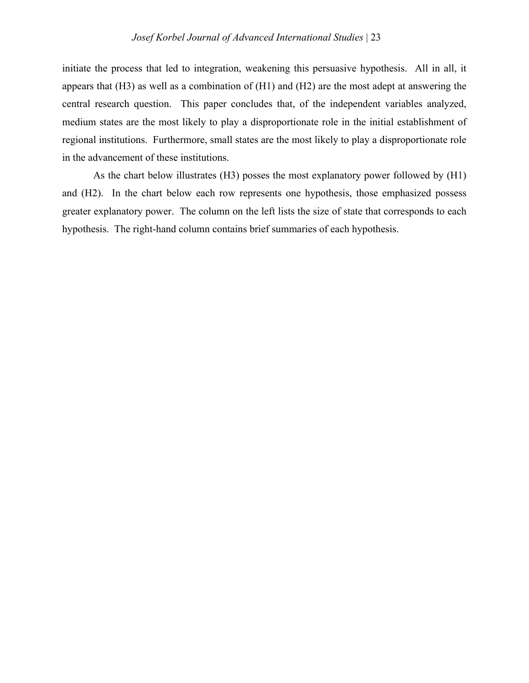initiate the process that led to integration, weakening this persuasive hypothesis. All in all, it appears that (H3) as well as a combination of (H1) and (H2) are the most adept at answering the central research question. This paper concludes that, of the independent variables analyzed, medium states are the most likely to play a disproportionate role in the initial establishment of regional institutions. Furthermore, small states are the most likely to play a disproportionate role in the advancement of these institutions.

As the chart below illustrates (H3) posses the most explanatory power followed by (H1) and (H2). In the chart below each row represents one hypothesis, those emphasized possess greater explanatory power. The column on the left lists the size of state that corresponds to each hypothesis. The right-hand column contains brief summaries of each hypothesis.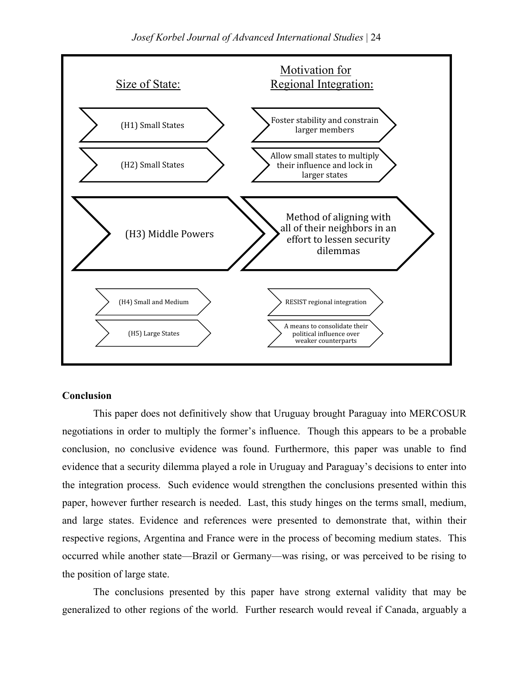

# **Conclusion**

This paper does not definitively show that Uruguay brought Paraguay into MERCOSUR negotiations in order to multiply the former's influence. Though this appears to be a probable conclusion, no conclusive evidence was found. Furthermore, this paper was unable to find evidence that a security dilemma played a role in Uruguay and Paraguay's decisions to enter into the integration process. Such evidence would strengthen the conclusions presented within this paper, however further research is needed. Last, this study hinges on the terms small, medium, and large states. Evidence and references were presented to demonstrate that, within their respective regions, Argentina and France were in the process of becoming medium states. This occurred while another state—Brazil or Germany—was rising, or was perceived to be rising to the position of large state.

The conclusions presented by this paper have strong external validity that may be generalized to other regions of the world. Further research would reveal if Canada, arguably a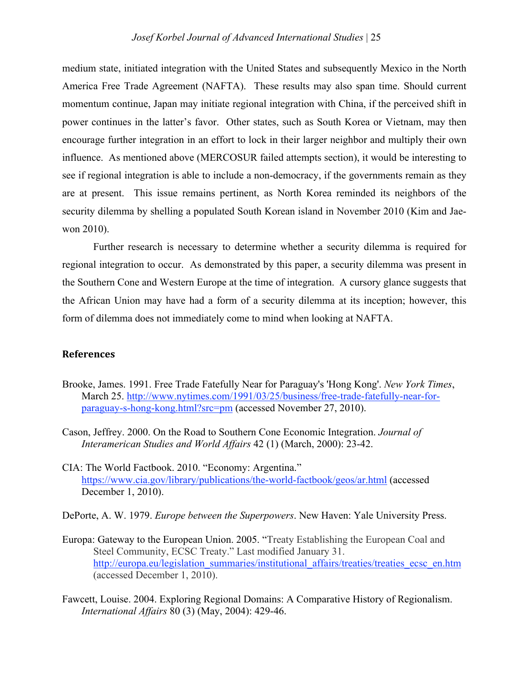medium state, initiated integration with the United States and subsequently Mexico in the North America Free Trade Agreement (NAFTA). These results may also span time. Should current momentum continue, Japan may initiate regional integration with China, if the perceived shift in power continues in the latter's favor. Other states, such as South Korea or Vietnam, may then encourage further integration in an effort to lock in their larger neighbor and multiply their own influence. As mentioned above (MERCOSUR failed attempts section), it would be interesting to see if regional integration is able to include a non-democracy, if the governments remain as they are at present. This issue remains pertinent, as North Korea reminded its neighbors of the security dilemma by shelling a populated South Korean island in November 2010 (Kim and Jaewon 2010).

Further research is necessary to determine whether a security dilemma is required for regional integration to occur. As demonstrated by this paper, a security dilemma was present in the Southern Cone and Western Europe at the time of integration. A cursory glance suggests that the African Union may have had a form of a security dilemma at its inception; however, this form of dilemma does not immediately come to mind when looking at NAFTA.

# **References**

- Brooke, James. 1991. Free Trade Fatefully Near for Paraguay's 'Hong Kong'. *New York Times*, March 25. http://www.nytimes.com/1991/03/25/business/free-trade-fatefully-near-forparaguay-s-hong-kong.html?src=pm (accessed November 27, 2010).
- Cason, Jeffrey. 2000. On the Road to Southern Cone Economic Integration. *Journal of Interamerican Studies and World Affairs* 42 (1) (March, 2000): 23-42.
- CIA: The World Factbook. 2010. "Economy: Argentina." https://www.cia.gov/library/publications/the-world-factbook/geos/ar.html (accessed December 1, 2010).
- DePorte, A. W. 1979. *Europe between the Superpowers*. New Haven: Yale University Press.
- Europa: Gateway to the European Union. 2005. "Treaty Establishing the European Coal and Steel Community, ECSC Treaty." Last modified January 31. http://europa.eu/legislation\_summaries/institutional\_affairs/treaties/treaties\_ecsc\_en.htm (accessed December 1, 2010).
- Fawcett, Louise. 2004. Exploring Regional Domains: A Comparative History of Regionalism. *International Affairs* 80 (3) (May, 2004): 429-46.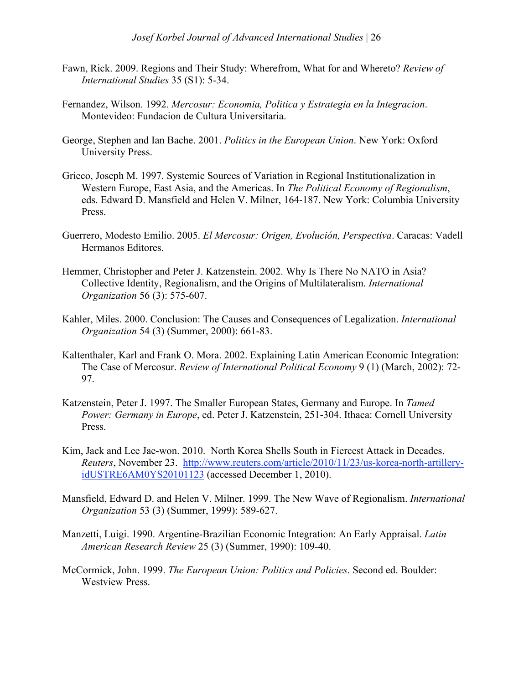- Fawn, Rick. 2009. Regions and Their Study: Wherefrom, What for and Whereto? *Review of International Studies* 35 (S1): 5-34.
- Fernandez, Wilson. 1992. *Mercosur: Economia, Politica y Estrategia en la Integracion*. Montevideo: Fundacion de Cultura Universitaria.
- George, Stephen and Ian Bache. 2001. *Politics in the European Union*. New York: Oxford University Press.
- Grieco, Joseph M. 1997. Systemic Sources of Variation in Regional Institutionalization in Western Europe, East Asia, and the Americas. In *The Political Economy of Regionalism*, eds. Edward D. Mansfield and Helen V. Milner, 164-187. New York: Columbia University Press.
- Guerrero, Modesto Emilio. 2005. *El Mercosur: Origen, Evolución, Perspectiva*. Caracas: Vadell Hermanos Editores.
- Hemmer, Christopher and Peter J. Katzenstein. 2002. Why Is There No NATO in Asia? Collective Identity, Regionalism, and the Origins of Multilateralism. *International Organization* 56 (3): 575-607.
- Kahler, Miles. 2000. Conclusion: The Causes and Consequences of Legalization. *International Organization* 54 (3) (Summer, 2000): 661-83.
- Kaltenthaler, Karl and Frank O. Mora. 2002. Explaining Latin American Economic Integration: The Case of Mercosur. *Review of International Political Economy* 9 (1) (March, 2002): 72- 97.
- Katzenstein, Peter J. 1997. The Smaller European States, Germany and Europe. In *Tamed Power: Germany in Europe*, ed. Peter J. Katzenstein, 251-304. Ithaca: Cornell University Press.
- Kim, Jack and Lee Jae-won. 2010. North Korea Shells South in Fiercest Attack in Decades. *Reuters*, November 23. http://www.reuters.com/article/2010/11/23/us-korea-north-artilleryidUSTRE6AM0YS20101123 (accessed December 1, 2010).
- Mansfield, Edward D. and Helen V. Milner. 1999. The New Wave of Regionalism. *International Organization* 53 (3) (Summer, 1999): 589-627.
- Manzetti, Luigi. 1990. Argentine-Brazilian Economic Integration: An Early Appraisal. *Latin American Research Review* 25 (3) (Summer, 1990): 109-40.
- McCormick, John. 1999. *The European Union: Politics and Policies*. Second ed. Boulder: Westview Press.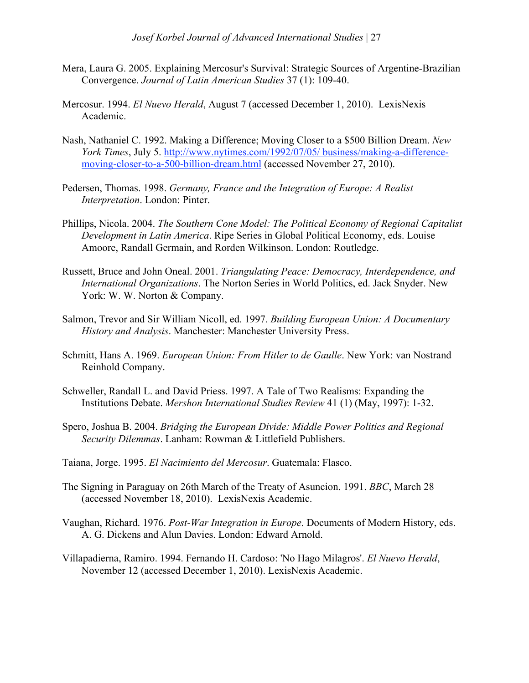- Mera, Laura G. 2005. Explaining Mercosur's Survival: Strategic Sources of Argentine-Brazilian Convergence. *Journal of Latin American Studies* 37 (1): 109-40.
- Mercosur. 1994. *El Nuevo Herald*, August 7 (accessed December 1, 2010). LexisNexis Academic.
- Nash, Nathaniel C. 1992. Making a Difference; Moving Closer to a \$500 Billion Dream. *New York Times*, July 5. http://www.nytimes.com/1992/07/05/ business/making-a-differencemoving-closer-to-a-500-billion-dream.html (accessed November 27, 2010).
- Pedersen, Thomas. 1998. *Germany, France and the Integration of Europe: A Realist Interpretation*. London: Pinter.
- Phillips, Nicola. 2004. *The Southern Cone Model: The Political Economy of Regional Capitalist Development in Latin America*. Ripe Series in Global Political Economy, eds. Louise Amoore, Randall Germain, and Rorden Wilkinson. London: Routledge.
- Russett, Bruce and John Oneal. 2001. *Triangulating Peace: Democracy, Interdependence, and International Organizations*. The Norton Series in World Politics, ed. Jack Snyder. New York: W. W. Norton & Company.
- Salmon, Trevor and Sir William Nicoll, ed. 1997. *Building European Union: A Documentary History and Analysis*. Manchester: Manchester University Press.
- Schmitt, Hans A. 1969. *European Union: From Hitler to de Gaulle*. New York: van Nostrand Reinhold Company.
- Schweller, Randall L. and David Priess. 1997. A Tale of Two Realisms: Expanding the Institutions Debate. *Mershon International Studies Review* 41 (1) (May, 1997): 1-32.
- Spero, Joshua B. 2004. *Bridging the European Divide: Middle Power Politics and Regional Security Dilemmas*. Lanham: Rowman & Littlefield Publishers.
- Taiana, Jorge. 1995. *El Nacimiento del Mercosur*. Guatemala: Flasco.
- The Signing in Paraguay on 26th March of the Treaty of Asuncion. 1991. *BBC*, March 28 (accessed November 18, 2010). LexisNexis Academic.
- Vaughan, Richard. 1976. *Post-War Integration in Europe*. Documents of Modern History, eds. A. G. Dickens and Alun Davies. London: Edward Arnold.
- Villapadierna, Ramiro. 1994. Fernando H. Cardoso: 'No Hago Milagros'. *El Nuevo Herald*, November 12 (accessed December 1, 2010). LexisNexis Academic.